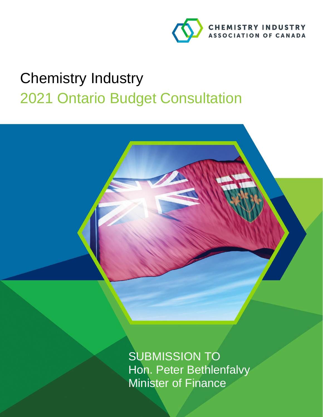

# Chemistry Industry 2021 Ontario Budget Consultation

SUBMISSION TO Hon. Peter Bethlenfalvy Minister of Finance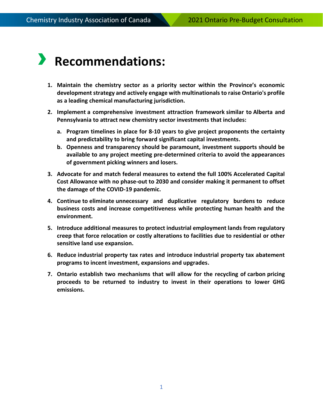## › **Recommendations:**

- **1. Maintain the chemistry sector as a priority sector within the Province's economic development strategy and actively engage with multinationals to raise Ontario's profile as a leading chemical manufacturing jurisdiction.**
- **2. Implement a comprehensive investment attraction framework similar to Alberta and Pennsylvania to attract new chemistry sector investments that includes:**
	- **a. Program timelines in place for 8-10 years to give project proponents the certainty and predictability to bring forward significant capital investments.**
	- **b. Openness and transparency should be paramount, investment supports should be available to any project meeting pre-determined criteria to avoid the appearances of government picking winners and losers.**
- **3. Advocate for and match federal measures to extend the full 100% Accelerated Capital Cost Allowance with no phase-out to 2030 and consider making it permanent to offset the damage of the COVID-19 pandemic.**
- **4. Continue to eliminate unnecessary and duplicative regulatory burdens to reduce business costs and increase competitiveness while protecting human health and the environment.**
- **5. Introduce additional measures to protect industrial employment lands from regulatory creep that force relocation or costly alterations to facilities due to residential or other sensitive land use expansion.**
- **6. Reduce industrial property tax rates and introduce industrial property tax abatement programs to incent investment, expansions and upgrades.**
- **7. Ontario establish two mechanisms that will allow for the recycling of carbon pricing proceeds to be returned to industry to invest in their operations to lower GHG emissions.**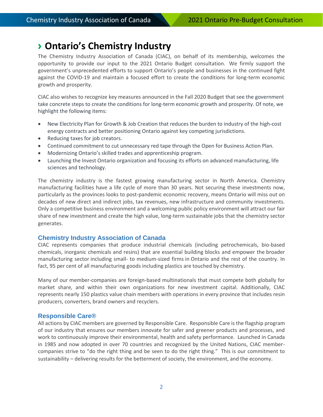### › **Ontario's Chemistry Industry**

The Chemistry Industry Association of Canada (CIAC), on behalf of its membership, welcomes the opportunity to provide our input to the 2021 Ontario Budget consultation. We firmly support the government's unprecedented efforts to support Ontario's people and businesses in the continued fight against the COVID-19 and maintain a focused effort to create the conditions for long-term economic growth and prosperity.

CIAC also wishes to recognize key measures announced in the Fall 2020 Budget that see the government take concrete steps to create the conditions for long-term economic growth and prosperity. Of note, we highlight the following items:

- New Electricity Plan for Growth & Job Creation that reduces the burden to industry of the high-cost energy contracts and better positioning Ontario against key competing jurisdictions.
- Reducing taxes for job creators.
- Continued commitment to cut unnecessary red tape through the Open for Business Action Plan.
- Modernizing Ontario's skilled trades and apprenticeship program.
- Launching the Invest Ontario organization and focusing its efforts on advanced manufacturing, life sciences and technology.

The chemistry industry is the fastest growing manufacturing sector in North America. Chemistry manufacturing facilities have a life cycle of more than 30 years. Not securing these investments now, particularly as the provinces looks to post-pandemic economic recovery, means Ontario will miss out on decades of new direct and indirect jobs, tax revenues, new infrastructure and community investments. Only a competitive business environment and a welcoming public policy environment will attract our fair share of new investment and create the high value, long-term sustainable jobs that the chemistry sector generates.

#### **Chemistry Industry Association of Canada**

CIAC represents companies that produce industrial chemicals (including petrochemicals, bio-based chemicals, inorganic chemicals and resins) that are essential building blocks and empower the broader manufacturing sector including small- to medium-sized firms in Ontario and the rest of the country. In fact, 95 per cent of all manufacturing goods including plastics are touched by chemistry.

Many of our member-companies are foreign-based multinationals that must compete both globally for market share, and within their own organizations for new investment capital. Additionally, CIAC represents nearly 150 plastics value chain members with operations in every province that includes resin producers, converters, brand owners and recyclers.

#### **Responsible Care®**

All actions by CIAC members are governed by Responsible Care. Responsible Care is the flagship program of our industry that ensures our members innovate for safer and greener products and processes, and work to continuously improve their environmental, health and safety performance. Launched in Canada in 1985 and now adopted in over 70 countries and recognized by the United Nations, CIAC membercompanies strive to "do the right thing and be seen to do the right thing." This is our commitment to sustainability – delivering results for the betterment of society, the environment, and the economy.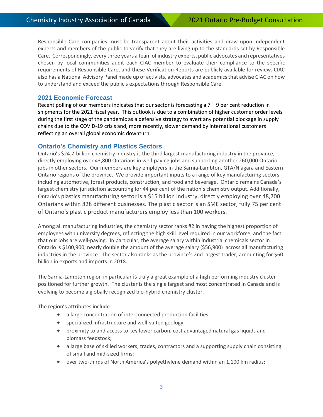Responsible Care companies must be transparent about their activities and draw upon independent experts and members of the public to verify that they are living up to the standards set by Responsible Care. Correspondingly, every three years a team of industry experts, public advocates and representatives chosen by local communities audit each CIAC member to evaluate their compliance to the specific requirements of Responsible Care, and these [Verification Reports](https://canadianchemistry.ca/responsible-care/verification-reports/) are publicly available for review. CIAC also has a National Advisory Panel made up of activists, advocates and academics that advise CIAC on how to understand and exceed the public's expectations through Responsible Care.

#### **2021 Economic Forecast**

Recent polling of our members indicates that our sector is forecasting a  $7 - 9$  per cent reduction in shipments for the 2021 fiscal year. This outlook is due to a combination of higher customer order levels during the first stage of the pandemic as a defensive strategy to avert any potential blockage in supply chains due to the COVID-19 crisis and, more recently, slower demand by international customers reflecting an overall global economic downturn.

#### **Ontario's Chemistry and Plastics Sectors**

Ontario's \$24.7-billion chemistry industry is the third largest manufacturing industry in the province, directly employing over 43,800 Ontarians in well-paying jobs and supporting another 260,000 Ontario jobs in other sectors.  Our members are key employers in the Sarnia-Lambton, GTA/Niagara and Eastern Ontario regions of the province.  We provide important inputs to a range of key manufacturing sectors including automotive, forest products, construction, and food and beverage.  Ontario remains Canada's largest chemistry jurisdiction accounting for 44 per cent of the nation's chemistry output. Additionally, Ontario's plastics manufacturing sector is a \$15 billion industry, directly employing over 48,700 Ontarians within 828 different businesses. The plastic sector is an SME sector, fully 75 per cent of Ontario's plastic product manufacturers employ less than 100 workers.

Among all manufacturing industries, the chemistry sector ranks #2 in having the highest proportion of employees with university degrees, reflecting the high skill level required in our workforce, and the fact that our jobs are well-paying.  In particular, the average salary within industrial chemicals sector in Ontario is \$100,900, nearly double the amount of the average salary (\$56,900) across all manufacturing industries in the province. The sector also ranks as the province's 2nd largest trader, accounting for \$60 billion in exports and imports in 2018.

The Sarnia-Lambton region in particular is truly a great example of a high performing industry cluster positioned for further growth. The cluster is the single largest and most concentrated in Canada and is evolving to become a globally recognized bio-hybrid chemistry cluster.

The region's attributes include:

- a large concentration of interconnected production facilities;
- specialized infrastructure and well-suited geology;
- proximity to and access to key lower carbon, cost advantaged natural gas liquids and biomass feedstock;
- a large base of skilled workers, trades, contractors and a supporting supply chain consisting of small and mid-sized firms;
- over two-thirds of North America's polyethylene demand within an 1,100 km radius;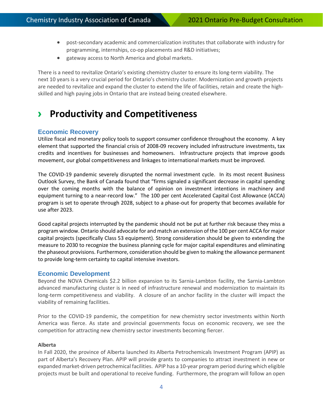- post-secondary academic and commercialization institutes that collaborate with industry for programming, internships, co-op placements and R&D initiatives;
- gateway access to North America and global markets.

There is a need to revitalize Ontario's existing chemistry cluster to ensure its long-term viability. The next 10 years is a very crucial period for Ontario's chemistry cluster. Modernization and growth projects are needed to revitalize and expand the cluster to extend the life of facilities, retain and create the highskilled and high paying jobs in Ontario that are instead being created elsewhere.

## › **Productivity and Competitiveness**

#### **Economic Recovery**

Utilize fiscal and monetary policy tools to support consumer confidence throughout the economy. A key element that supported the financial crisis of 2008-09 recovery included infrastructure investments, tax credits and incentives for businesses and homeowners. Infrastructure projects that improve goods movement, our global competitiveness and linkages to international markets must be improved.

The COVID-19 pandemic severely disrupted the normal investment cycle. In its most recent Business Outlook Survey, the Bank of Canada found that "firms signaled a significant decrease in capital spending over the coming months with the balance of opinion on investment intentions in machinery and equipment turning to a near-record low." The 100 per cent Accelerated Capital Cost Allowance (ACCA) program is set to operate through 2028, subject to a phase-out for property that becomes available for use after 2023.

Good capital projects interrupted by the pandemic should not be put at further risk because they miss a program window. Ontario should advocate for and match an extension of the 100 per cent ACCA for major capital projects (specifically Class 53 equipment). Strong consideration should be given to extending the measure to 2030 to recognize the business planning cycle for major capital expenditures and eliminating the phaseout provisions. Furthermore, consideration should be given to making the allowance permanent to provide long-term certainty to capital intensive investors.

#### **Economic Development**

Beyond the NOVA Chemicals \$2.2 billion expansion to its Sarnia-Lambton facility, the Sarnia-Lambton advanced manufacturing cluster is in need of infrastructure renewal and modernization to maintain its long-term competitiveness and viability. A closure of an anchor facility in the cluster will impact the viability of remaining facilities.

Prior to the COVID-19 pandemic, the competition for new chemistry sector investments within North America was fierce. As state and provincial governments focus on economic recovery, we see the competition for attracting new chemistry sector investments becoming fiercer.

#### **Alberta**

In Fall 2020, the province of Alberta launched its Alberta Petrochemicals Investment Program (APIP) as part of Alberta's Recovery Plan. APIP will provide grants to companies to attract investment in new or expanded market-driven petrochemical facilities. APIP has a 10-year program period during which eligible projects must be built and operational to receive funding. Furthermore, the program will follow an open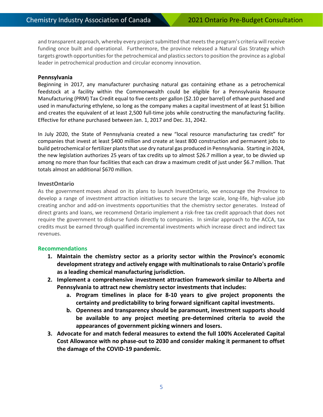and transparent approach, whereby every project submitted that meets the program's criteria will receive funding once built and operational. Furthermore, the province released a Natural Gas Strategy which targets growth opportunities for the petrochemical and plastics sectors to position the province as a global leader in petrochemical production and circular economy innovation.

#### **Pennsylvania**

Beginning in 2017, any manufacturer purchasing natural gas containing ethane as a petrochemical feedstock at a facility within the Commonwealth could be eligible for a Pennsylvania Resource Manufacturing (PRM) Tax Credit equal to five cents per gallon (\$2.10 per barrel) of ethane purchased and used in manufacturing ethylene, so long as the company makes a capital investment of at least \$1 billion and creates the equivalent of at least 2,500 full-time jobs while constructing the manufacturing facility. Effective for ethane purchased between Jan. 1, 2017 and Dec. 31, 2042.

In July 2020, the State of Pennsylvania created a new "local resource manufacturing tax credit" for companies that invest at least \$400 million and create at least 800 construction and permanent jobs to build petrochemical or fertilizer plants that use dry natural gas produced in Pennsylvania. Starting in 2024, the new legislation authorizes 25 years of tax credits up to almost \$26.7 million a year, to be divvied up among no more than four facilities that each can draw a maximum credit of just under \$6.7 million. That totals almost an additional \$670 million.

#### **InvestOntario**

As the government moves ahead on its plans to launch InvestOntario, we encourage the Province to develop a range of investment attraction initiatives to secure the large scale, long-life, high-value job creating anchor and add-on investments opportunities that the chemistry sector generates. Instead of direct grants and loans, we recommend Ontario implement a risk-free tax credit approach that does not require the government to disburse funds directly to companies. In similar approach to the ACCA, tax credits must be earned through qualified incremental investments which increase direct and indirect tax revenues.

#### **Recommendations**

- **1. Maintain the chemistry sector as a priority sector within the Province's economic development strategy and actively engage with multinationals to raise Ontario's profile as a leading chemical manufacturing jurisdiction.**
- **2. Implement a comprehensive investment attraction framework similar to Alberta and Pennsylvania to attract new chemistry sector investments that includes:**
	- **a. Program timelines in place for 8-10 years to give project proponents the certainty and predictability to bring forward significant capital investments.**
	- **b. Openness and transparency should be paramount, investment supports should be available to any project meeting pre-determined criteria to avoid the appearances of government picking winners and losers.**
- **3. Advocate for and match federal measures to extend the full 100% Accelerated Capital Cost Allowance with no phase-out to 2030 and consider making it permanent to offset the damage of the COVID-19 pandemic.**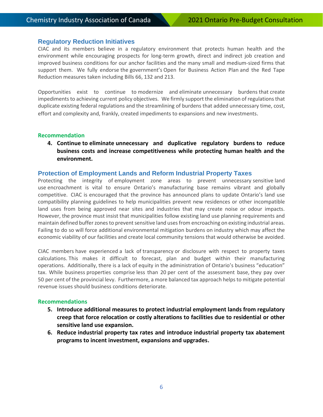#### **Regulatory Reduction Initiatives**

CIAC and its members believe in a regulatory environment that protects human health and the environment while encouraging prospects for long-term growth, direct and indirect job creation and improved business conditions for our anchor facilities and the many small and medium-sized firms that support them. We fully endorse the government's Open for Business Action Plan and the Red Tape Reduction measures taken including Bills 66, 132 and 213.

Opportunities exist to continue to modernize and eliminate unnecessary burdens that create impediments to achieving current policy objectives. We firmly support the elimination of regulations that duplicate existing federal regulations and the streamlining of burdens that added unnecessary time, cost, effort and complexity and, frankly, created impediments to expansions and new investments.

#### **Recommendation**

**4. Continue to eliminate unnecessary and duplicative regulatory burdens to reduce business costs and increase competitiveness while protecting human health and the environment.**

#### **Protection of Employment Lands and Reform Industrial Property Taxes**

Protecting the integrity of employment zone areas to prevent unnecessary sensitive land use encroachment is vital to ensure Ontario's manufacturing base remains vibrant and globally competitive. CIAC is encouraged that the province has announced plans to update Ontario's land use compatibility planning guidelines to help municipalities prevent new residences or other incompatible land uses from being approved near sites and industries that may create noise or odour impacts. However, the province must insist that municipalities follow existing land use planning requirements and maintain defined buffer zonesto prevent sensitive land uses from encroaching on existing industrial areas. Failing to do so will force additional environmental mitigation burdens on industry which may affect the economic viability of our facilities and create local community tensions that would otherwise be avoided.

CIAC members have experienced a lack of transparency or disclosure with respect to property taxes calculations. This makes it difficult to forecast, plan and budget within their manufacturing operations. Additionally, there is a lack of equity in the administration of Ontario's business "education" tax. While business properties comprise less than 20 per cent of the assessment base, they pay over 50 per cent of the provincial levy. Furthermore, a more balanced tax approach helps to mitigate potential revenue issues should business conditions deteriorate.

#### **Recommendations**

- **5. Introduce additional measures to protect industrial employment lands from regulatory creep that force relocation or costly alterations to facilities due to residential or other sensitive land use expansion.**
- **6. Reduce industrial property tax rates and introduce industrial property tax abatement programs to incent investment, expansions and upgrades.**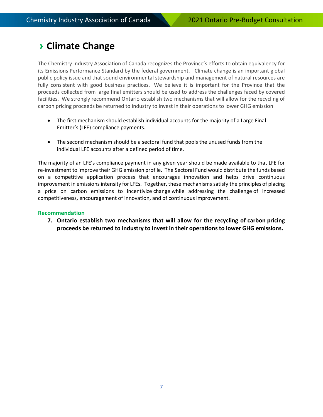## › **Climate Change**

The Chemistry Industry Association of Canada recognizes the Province's efforts to obtain equivalency for its Emissions Performance Standard by the federal government. Climate change is an important global public policy issue and that sound environmental stewardship and management of natural resources are fully consistent with good business practices. We believe it is important for the Province that the proceeds collected from large final emitters should be used to address the challenges faced by covered facilities. We strongly recommend Ontario establish two mechanisms that will allow for the recycling of carbon pricing proceeds be returned to industry to invest in their operations to lower GHG emission

- The first mechanism should establish individual accounts for the majority of a Large Final Emitter's (LFE) compliance payments.
- The second mechanism should be a sectoral fund that pools the unused funds from the individual LFE accounts after a defined period of time.

The majority of an LFE's compliance payment in any given year should be made available to that LFE for re-investment to improve their GHG emission profile. The Sectoral Fund would distribute the funds based on a competitive application process that encourages innovation and helps drive continuous improvement in emissions intensity for LFEs. Together, these mechanisms satisfy the principles of placing a price on carbon emissions to incentivize change while addressing the challenge of increased competitiveness, encouragement of innovation, and of continuous improvement.

#### **Recommendation**

**7. Ontario establish two mechanisms that will allow for the recycling of carbon pricing proceeds be returned to industry to invest in their operations to lower GHG emissions.**